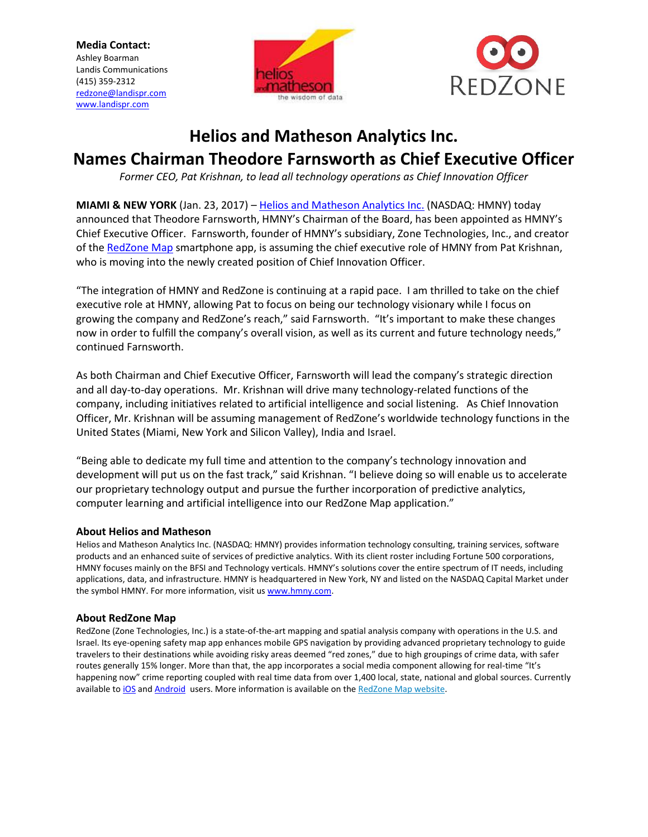**Media Contact:** Ashley Boarman Landis Communications (415) 359-2312 [redzone@landispr.com](mailto:redzone@landispr.com) [www.landispr.com](http://www.landispr.com/)





## **Helios and Matheson Analytics Inc.**

# **Names Chairman Theodore Farnsworth as Chief Executive Officer**

*Former CEO, Pat Krishnan, to lead all technology operations as Chief Innovation Officer*

**MIAMI & NEW YORK** (Jan. 23, 2017) – [Helios and Matheson Analytics Inc.](http://www.hmny.com/) (NASDAQ: HMNY) today announced that Theodore Farnsworth, HMNY's Chairman of the Board, has been appointed as HMNY's Chief Executive Officer. Farnsworth, founder of HMNY's subsidiary, Zone Technologies, Inc., and creator of the [RedZone Map](http://www.redzonemap.com/) smartphone app, is assuming the chief executive role of HMNY from Pat Krishnan, who is moving into the newly created position of Chief Innovation Officer.

"The integration of HMNY and RedZone is continuing at a rapid pace. I am thrilled to take on the chief executive role at HMNY, allowing Pat to focus on being our technology visionary while I focus on growing the company and RedZone's reach," said Farnsworth. "It's important to make these changes now in order to fulfill the company's overall vision, as well as its current and future technology needs," continued Farnsworth.

As both Chairman and Chief Executive Officer, Farnsworth will lead the company's strategic direction and all day-to-day operations. Mr. Krishnan will drive many technology-related functions of the company, including initiatives related to artificial intelligence and social listening. As Chief Innovation Officer, Mr. Krishnan will be assuming management of RedZone's worldwide technology functions in the United States (Miami, New York and Silicon Valley), India and Israel.

"Being able to dedicate my full time and attention to the company's technology innovation and development will put us on the fast track," said Krishnan. "I believe doing so will enable us to accelerate our proprietary technology output and pursue the further incorporation of predictive analytics, computer learning and artificial intelligence into our RedZone Map application."

### **About Helios and Matheson**

Helios and Matheson Analytics Inc. (NASDAQ: HMNY) provides information technology consulting, training services, software products and an enhanced suite of services of predictive analytics. With its client roster including Fortune 500 corporations, HMNY focuses mainly on the BFSI and Technology verticals. HMNY's solutions cover the entire spectrum of IT needs, including applications, data, and infrastructure. HMNY is headquartered in New York, NY and listed on the NASDAQ Capital Market under the symbol HMNY. For more information, visit us [www.hmny.com.](http://www.hmny.com/)

### **About RedZone Map**

RedZone (Zone Technologies, Inc.) is a state-of-the-art mapping and spatial analysis company with operations in the U.S. and Israel. Its eye-opening safety map app enhances mobile GPS navigation by providing advanced proprietary technology to guide travelers to their destinations while avoiding risky areas deemed "red zones," due to high groupings of crime data, with safer routes generally 15% longer. More than that, the app incorporates a social media component allowing for real-time "It's happening now" crime reporting coupled with real time data from over 1,400 local, state, national and global sources. Currently available t[o iOS](http://cts.businesswire.com/ct/CT?id=smartlink&url=http%3A%2F%2Fapple.co%2F1MCSSzR&esheet=51462818&newsitemid=20161117005700&lan=en-US&anchor=RedZone&index=2&md5=38cd7176634e2382838d86c888246a48) an[d Android](https://play.google.com/store/apps/details?id=com.hmny.redzone&hl=en) users. More information is available on the [RedZone Map website.](http://cts.businesswire.com/ct/CT?id=smartlink&url=http%3A%2F%2Fwww.redzonemap.com%2F&esheet=51462818&newsitemid=20161117005700&lan=en-US&anchor=RedZone+Map+website&index=3&md5=06a6cd50ad8f4c60c251a94fe64c8e31)